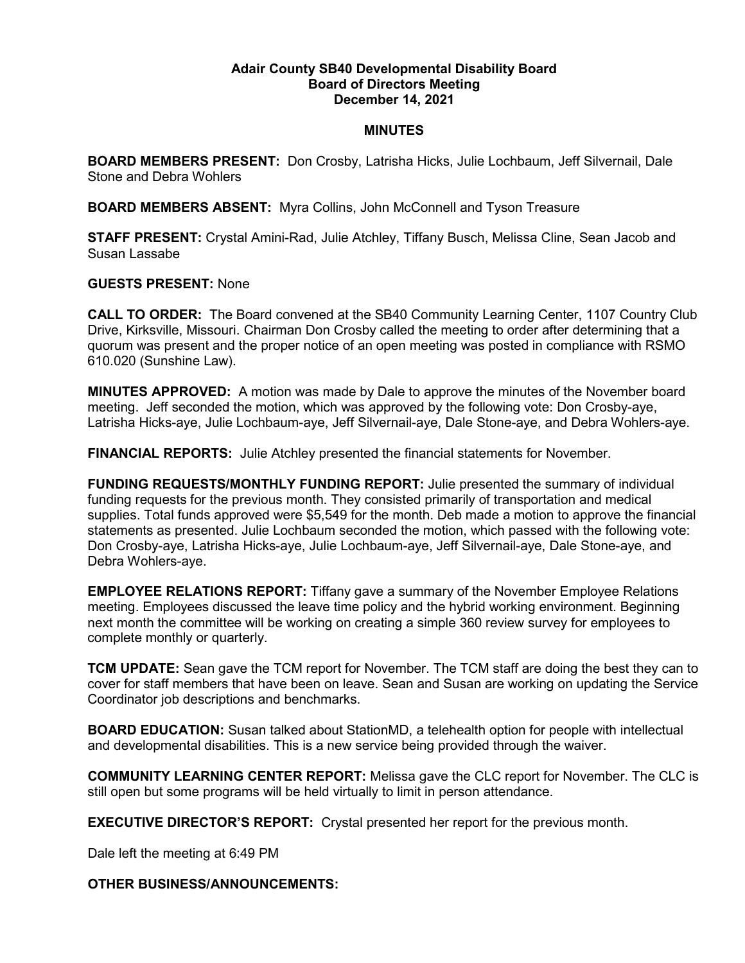## **Adair County SB40 Developmental Disability Board Board of Directors Meeting December 14, 2021**

## **MINUTES**

**BOARD MEMBERS PRESENT:** Don Crosby, Latrisha Hicks, Julie Lochbaum, Jeff Silvernail, Dale Stone and Debra Wohlers

**BOARD MEMBERS ABSENT:** Myra Collins, John McConnell and Tyson Treasure

**STAFF PRESENT:** Crystal Amini-Rad, Julie Atchley, Tiffany Busch, Melissa Cline, Sean Jacob and Susan Lassabe

## **GUESTS PRESENT:** None

**CALL TO ORDER:** The Board convened at the SB40 Community Learning Center, 1107 Country Club Drive, Kirksville, Missouri. Chairman Don Crosby called the meeting to order after determining that a quorum was present and the proper notice of an open meeting was posted in compliance with RSMO 610.020 (Sunshine Law).

**MINUTES APPROVED:** A motion was made by Dale to approve the minutes of the November board meeting. Jeff seconded the motion, which was approved by the following vote: Don Crosby-aye, Latrisha Hicks-aye, Julie Lochbaum-aye, Jeff Silvernail-aye, Dale Stone-aye, and Debra Wohlers-aye.

**FINANCIAL REPORTS:** Julie Atchley presented the financial statements for November.

**FUNDING REQUESTS/MONTHLY FUNDING REPORT:** Julie presented the summary of individual funding requests for the previous month. They consisted primarily of transportation and medical supplies. Total funds approved were \$5,549 for the month. Deb made a motion to approve the financial statements as presented. Julie Lochbaum seconded the motion, which passed with the following vote: Don Crosby-aye, Latrisha Hicks-aye, Julie Lochbaum-aye, Jeff Silvernail-aye, Dale Stone-aye, and Debra Wohlers-aye.

**EMPLOYEE RELATIONS REPORT:** Tiffany gave a summary of the November Employee Relations meeting. Employees discussed the leave time policy and the hybrid working environment. Beginning next month the committee will be working on creating a simple 360 review survey for employees to complete monthly or quarterly.

**TCM UPDATE:** Sean gave the TCM report for November. The TCM staff are doing the best they can to cover for staff members that have been on leave. Sean and Susan are working on updating the Service Coordinator job descriptions and benchmarks.

**BOARD EDUCATION:** Susan talked about StationMD, a telehealth option for people with intellectual and developmental disabilities. This is a new service being provided through the waiver.

**COMMUNITY LEARNING CENTER REPORT:** Melissa gave the CLC report for November. The CLC is still open but some programs will be held virtually to limit in person attendance.

**EXECUTIVE DIRECTOR'S REPORT:** Crystal presented her report for the previous month.

Dale left the meeting at 6:49 PM

**OTHER BUSINESS/ANNOUNCEMENTS:**